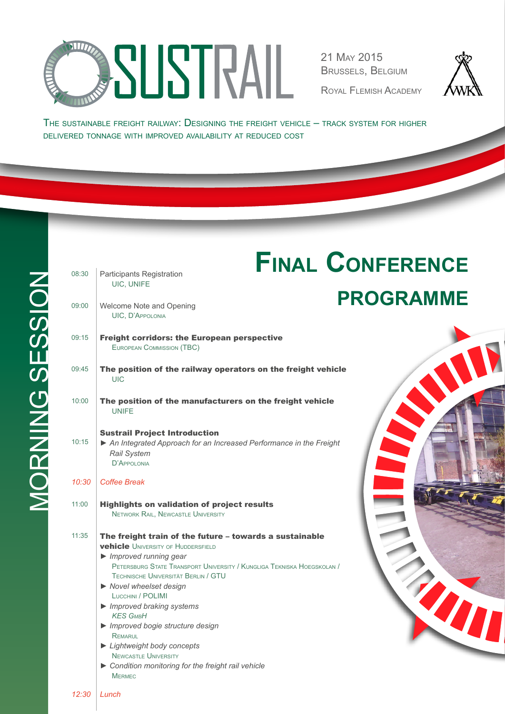

21 May 2015 Brussels, Belgium

Royal Flemish Academy



T

The sustainable freight railway: Designing the freight vehicle – track system for higher delivered tonnage with improved availability at reduced cost

| 08:30 | Participants Registration                                                                                                                                                                                                                                                                                                                                                                                                                                                                                                                                               | <b>FINAL CONFERENCE</b> |
|-------|-------------------------------------------------------------------------------------------------------------------------------------------------------------------------------------------------------------------------------------------------------------------------------------------------------------------------------------------------------------------------------------------------------------------------------------------------------------------------------------------------------------------------------------------------------------------------|-------------------------|
|       | UIC, UNIFE                                                                                                                                                                                                                                                                                                                                                                                                                                                                                                                                                              | <b>PROGRAMME</b>        |
| 09:00 | Welcome Note and Opening<br><b>UIC, D'APPOLONIA</b>                                                                                                                                                                                                                                                                                                                                                                                                                                                                                                                     |                         |
| 09:15 | <b>Freight corridors: the European perspective</b><br><b>EUROPEAN COMMISSION (TBC)</b>                                                                                                                                                                                                                                                                                                                                                                                                                                                                                  |                         |
| 09:45 | The position of the railway operators on the freight vehicle<br><b>UIC</b>                                                                                                                                                                                                                                                                                                                                                                                                                                                                                              |                         |
| 10:00 | The position of the manufacturers on the freight vehicle<br><b>UNIFF</b>                                                                                                                                                                                                                                                                                                                                                                                                                                                                                                |                         |
| 10:15 | <b>Sustrail Project Introduction</b><br>An Integrated Approach for an Increased Performance in the Freight<br><b>Rail System</b><br>D'APPOLONIA                                                                                                                                                                                                                                                                                                                                                                                                                         |                         |
| 10:30 | <b>Coffee Break</b>                                                                                                                                                                                                                                                                                                                                                                                                                                                                                                                                                     |                         |
| 11:00 | <b>Highlights on validation of project results</b><br><b>NETWORK RAIL, NEWCASTLE UNIVERSITY</b>                                                                                                                                                                                                                                                                                                                                                                                                                                                                         |                         |
| 11:35 | The freight train of the future - towards a sustainable<br><b>vehicle</b> UNIVERSITY OF HUDDERSFIELD<br>$\blacktriangleright$ Improved running gear<br>PETERSBURG STATE TRANSPORT UNIVERSITY / KUNGLIGA TEKNISKA HOEGSKOLAN /<br>TECHNISCHE UNIVERSITÄT BERLIN / GTU<br>Novel wheelset design<br>LUCCHINI / POLIMI<br>$\blacktriangleright$ Improved braking systems<br><b>KES GMBH</b><br>Improved bogie structure design<br>REMARUL<br>Lightweight body concepts<br><b>NEWCASTLE UNIVERSITY</b><br>Condition monitoring for the freight rail vehicle<br><b>MERMEC</b> |                         |